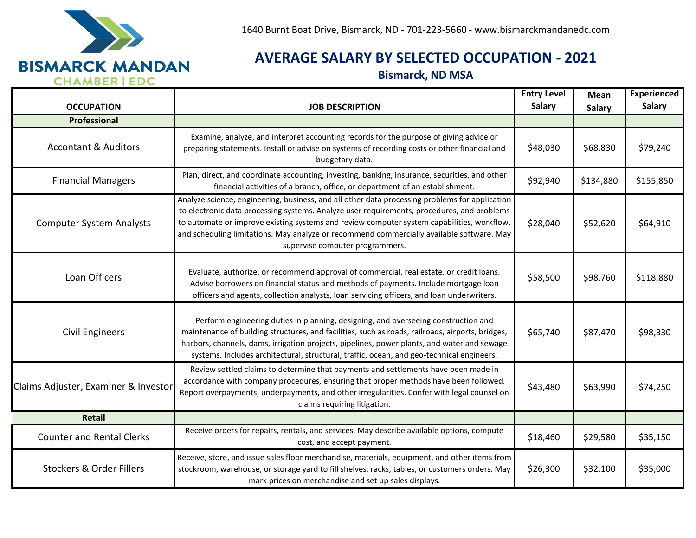

## **AVERAGE SALARY BY SELECTED OCCUPATION - 2021**

**Bismarck, ND MSA**

| <b>OCCUPATION</b>                    | <b>JOB DESCRIPTION</b>                                                                                                                                                                                                                                                                                                                                                                                                     | <b>Entry Level</b><br><b>Salary</b> | <b>Mean</b><br>Salary | <b>Experienced</b><br><b>Salary</b> |
|--------------------------------------|----------------------------------------------------------------------------------------------------------------------------------------------------------------------------------------------------------------------------------------------------------------------------------------------------------------------------------------------------------------------------------------------------------------------------|-------------------------------------|-----------------------|-------------------------------------|
| Professional                         |                                                                                                                                                                                                                                                                                                                                                                                                                            |                                     |                       |                                     |
| <b>Accontant &amp; Auditors</b>      | Examine, analyze, and interpret accounting records for the purpose of giving advice or<br>preparing statements. Install or advise on systems of recording costs or other financial and<br>budgetary data.                                                                                                                                                                                                                  | \$48,030                            | \$68,830              | \$79,240                            |
| <b>Financial Managers</b>            | Plan, direct, and coordinate accounting, investing, banking, insurance, securities, and other<br>financial activities of a branch, office, or department of an establishment.                                                                                                                                                                                                                                              | \$92,940                            | \$134,880             | \$155,850                           |
| <b>Computer System Analysts</b>      | Analyze science, engineering, business, and all other data processing problems for application<br>to electronic data processing systems. Analyze user requirements, procedures, and problems<br>to automate or improve existing systems and review computer system capabilities, workflow,<br>and scheduling limitations. May analyze or recommend commercially available software. May<br>supervise computer programmers. | \$28,040                            | \$52,620              | \$64,910                            |
| Loan Officers                        | Evaluate, authorize, or recommend approval of commercial, real estate, or credit loans.<br>Advise borrowers on financial status and methods of payments. Include mortgage loan<br>officers and agents, collection analysts, loan servicing officers, and loan underwriters.                                                                                                                                                | \$58,500                            | \$98,760              | \$118,880                           |
| <b>Civil Engineers</b>               | Perform engineering duties in planning, designing, and overseeing construction and<br>maintenance of building structures, and facilities, such as roads, railroads, airports, bridges,<br>harbors, channels, dams, irrigation projects, pipelines, power plants, and water and sewage<br>systems. Includes architectural, structural, traffic, ocean, and geo-technical engineers.                                         | \$65,740                            | \$87,470              | \$98,330                            |
| Claims Adjuster, Examiner & Investor | Review settled claims to determine that payments and settlements have been made in<br>accordance with company procedures, ensuring that proper methods have been followed.<br>Report overpayments, underpayments, and other irregularities. Confer with legal counsel on<br>claims requiring litigation.                                                                                                                   | \$43,480                            | \$63,990              | \$74,250                            |
| Retail                               |                                                                                                                                                                                                                                                                                                                                                                                                                            |                                     |                       |                                     |
| <b>Counter and Rental Clerks</b>     | Receive orders for repairs, rentals, and services. May describe available options, compute<br>cost, and accept payment.                                                                                                                                                                                                                                                                                                    | \$18,460                            | \$29,580              | \$35,150                            |
| <b>Stockers &amp; Order Fillers</b>  | Receive, store, and issue sales floor merchandise, materials, equipment, and other items from<br>stockroom, warehouse, or storage yard to fill shelves, racks, tables, or customers orders. May<br>mark prices on merchandise and set up sales displays.                                                                                                                                                                   | \$26,300                            | \$32,100              | \$35,000                            |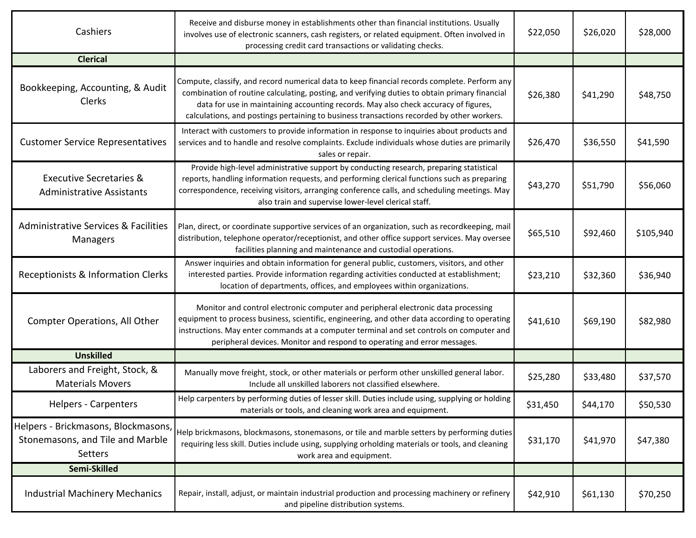| Cashiers                                                                           | Receive and disburse money in establishments other than financial institutions. Usually<br>involves use of electronic scanners, cash registers, or related equipment. Often involved in<br>processing credit card transactions or validating checks.                                                                                                                              | \$22,050 | \$26,020 | \$28,000  |
|------------------------------------------------------------------------------------|-----------------------------------------------------------------------------------------------------------------------------------------------------------------------------------------------------------------------------------------------------------------------------------------------------------------------------------------------------------------------------------|----------|----------|-----------|
| <b>Clerical</b>                                                                    |                                                                                                                                                                                                                                                                                                                                                                                   |          |          |           |
| Bookkeeping, Accounting, & Audit<br>Clerks                                         | Compute, classify, and record numerical data to keep financial records complete. Perform any<br>combination of routine calculating, posting, and verifying duties to obtain primary financial<br>data for use in maintaining accounting records. May also check accuracy of figures,<br>calculations, and postings pertaining to business transactions recorded by other workers. | \$26,380 | \$41,290 | \$48,750  |
| <b>Customer Service Representatives</b>                                            | Interact with customers to provide information in response to inquiries about products and<br>services and to handle and resolve complaints. Exclude individuals whose duties are primarily<br>sales or repair.                                                                                                                                                                   | \$26,470 | \$36,550 | \$41,590  |
| <b>Executive Secretaries &amp;</b><br><b>Administrative Assistants</b>             | Provide high-level administrative support by conducting research, preparing statistical<br>reports, handling information requests, and performing clerical functions such as preparing<br>correspondence, receiving visitors, arranging conference calls, and scheduling meetings. May<br>also train and supervise lower-level clerical staff.                                    | \$43,270 | \$51,790 | \$56,060  |
| <b>Administrative Services &amp; Facilities</b><br>Managers                        | Plan, direct, or coordinate supportive services of an organization, such as recordkeeping, mail<br>distribution, telephone operator/receptionist, and other office support services. May oversee<br>facilities planning and maintenance and custodial operations.                                                                                                                 | \$65,510 | \$92,460 | \$105,940 |
| Receptionists & Information Clerks                                                 | Answer inquiries and obtain information for general public, customers, visitors, and other<br>interested parties. Provide information regarding activities conducted at establishment;<br>location of departments, offices, and employees within organizations.                                                                                                                   | \$23,210 | \$32,360 | \$36,940  |
| <b>Compter Operations, All Other</b>                                               | Monitor and control electronic computer and peripheral electronic data processing<br>equipment to process business, scientific, engineering, and other data according to operating<br>instructions. May enter commands at a computer terminal and set controls on computer and<br>peripheral devices. Monitor and respond to operating and error messages.                        | \$41,610 | \$69,190 | \$82,980  |
| <b>Unskilled</b>                                                                   |                                                                                                                                                                                                                                                                                                                                                                                   |          |          |           |
| Laborers and Freight, Stock, &<br><b>Materials Movers</b>                          | Manually move freight, stock, or other materials or perform other unskilled general labor.<br>Include all unskilled laborers not classified elsewhere.                                                                                                                                                                                                                            | \$25,280 | \$33,480 | \$37,570  |
| <b>Helpers - Carpenters</b>                                                        | Help carpenters by performing duties of lesser skill. Duties include using, supplying or holding<br>materials or tools, and cleaning work area and equipment.                                                                                                                                                                                                                     | \$31,450 | \$44,170 | \$50,530  |
| Helpers - Brickmasons, Blockmasons,<br>Stonemasons, and Tile and Marble<br>Setters | Help brickmasons, blockmasons, stonemasons, or tile and marble setters by performing duties<br>requiring less skill. Duties include using, supplying orholding materials or tools, and cleaning<br>work area and equipment.                                                                                                                                                       | \$31,170 | \$41,970 | \$47,380  |
| Semi-Skilled                                                                       |                                                                                                                                                                                                                                                                                                                                                                                   |          |          |           |
| <b>Industrial Machinery Mechanics</b>                                              | Repair, install, adjust, or maintain industrial production and processing machinery or refinery<br>and pipeline distribution systems.                                                                                                                                                                                                                                             | \$42,910 | \$61,130 | \$70,250  |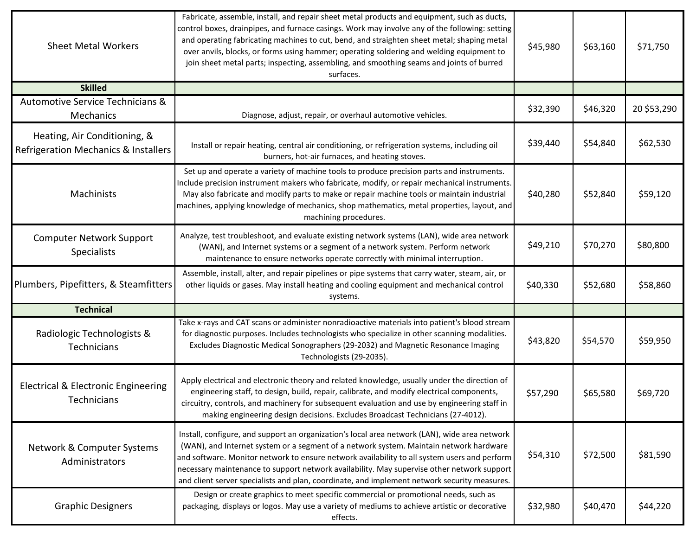| <b>Sheet Metal Workers</b>                                           | Fabricate, assemble, install, and repair sheet metal products and equipment, such as ducts,<br>control boxes, drainpipes, and furnace casings. Work may involve any of the following: setting<br>and operating fabricating machines to cut, bend, and straighten sheet metal; shaping metal<br>over anvils, blocks, or forms using hammer; operating soldering and welding equipment to<br>join sheet metal parts; inspecting, assembling, and smoothing seams and joints of burred<br>surfaces. | \$45,980 | \$63,160 | \$71,750    |
|----------------------------------------------------------------------|--------------------------------------------------------------------------------------------------------------------------------------------------------------------------------------------------------------------------------------------------------------------------------------------------------------------------------------------------------------------------------------------------------------------------------------------------------------------------------------------------|----------|----------|-------------|
| <b>Skilled</b>                                                       |                                                                                                                                                                                                                                                                                                                                                                                                                                                                                                  |          |          |             |
| Automotive Service Technicians &<br>Mechanics                        | Diagnose, adjust, repair, or overhaul automotive vehicles.                                                                                                                                                                                                                                                                                                                                                                                                                                       | \$32,390 | \$46,320 | 20 \$53,290 |
| Heating, Air Conditioning, &<br>Refrigeration Mechanics & Installers | Install or repair heating, central air conditioning, or refrigeration systems, including oil<br>burners, hot-air furnaces, and heating stoves.                                                                                                                                                                                                                                                                                                                                                   | \$39,440 | \$54,840 | \$62,530    |
| Machinists                                                           | Set up and operate a variety of machine tools to produce precision parts and instruments.<br>Include precision instrument makers who fabricate, modify, or repair mechanical instruments.<br>May also fabricate and modify parts to make or repair machine tools or maintain industrial<br>machines, applying knowledge of mechanics, shop mathematics, metal properties, layout, and<br>machining procedures.                                                                                   | \$40,280 | \$52,840 | \$59,120    |
| <b>Computer Network Support</b><br><b>Specialists</b>                | Analyze, test troubleshoot, and evaluate existing network systems (LAN), wide area network<br>(WAN), and Internet systems or a segment of a network system. Perform network<br>maintenance to ensure networks operate correctly with minimal interruption.                                                                                                                                                                                                                                       | \$49,210 | \$70,270 | \$80,800    |
| Plumbers, Pipefitters, & Steamfitters                                | Assemble, install, alter, and repair pipelines or pipe systems that carry water, steam, air, or<br>other liquids or gases. May install heating and cooling equipment and mechanical control<br>systems.                                                                                                                                                                                                                                                                                          | \$40,330 | \$52,680 | \$58,860    |
| <b>Technical</b>                                                     |                                                                                                                                                                                                                                                                                                                                                                                                                                                                                                  |          |          |             |
| Radiologic Technologists &<br>Technicians                            | Take x-rays and CAT scans or administer nonradioactive materials into patient's blood stream<br>for diagnostic purposes. Includes technologists who specialize in other scanning modalities.<br>Excludes Diagnostic Medical Sonographers (29-2032) and Magnetic Resonance Imaging<br>Technologists (29-2035).                                                                                                                                                                                    | \$43,820 | \$54,570 | \$59,950    |
| Electrical & Electronic Engineering<br><b>Technicians</b>            | Apply electrical and electronic theory and related knowledge, usually under the direction of<br>engineering staff, to design, build, repair, calibrate, and modify electrical components,<br>circuitry, controls, and machinery for subsequent evaluation and use by engineering staff in<br>making engineering design decisions. Excludes Broadcast Technicians (27-4012).                                                                                                                      | \$57,290 | \$65,580 | \$69,720    |
| Network & Computer Systems<br>Administrators                         | Install, configure, and support an organization's local area network (LAN), wide area network<br>(WAN), and Internet system or a segment of a network system. Maintain network hardware<br>and software. Monitor network to ensure network availability to all system users and perform<br>necessary maintenance to support network availability. May supervise other network support<br>and client server specialists and plan, coordinate, and implement network security measures.            | \$54,310 | \$72,500 | \$81,590    |
| <b>Graphic Designers</b>                                             | Design or create graphics to meet specific commercial or promotional needs, such as<br>packaging, displays or logos. May use a variety of mediums to achieve artistic or decorative<br>effects.                                                                                                                                                                                                                                                                                                  | \$32,980 | \$40,470 | \$44,220    |